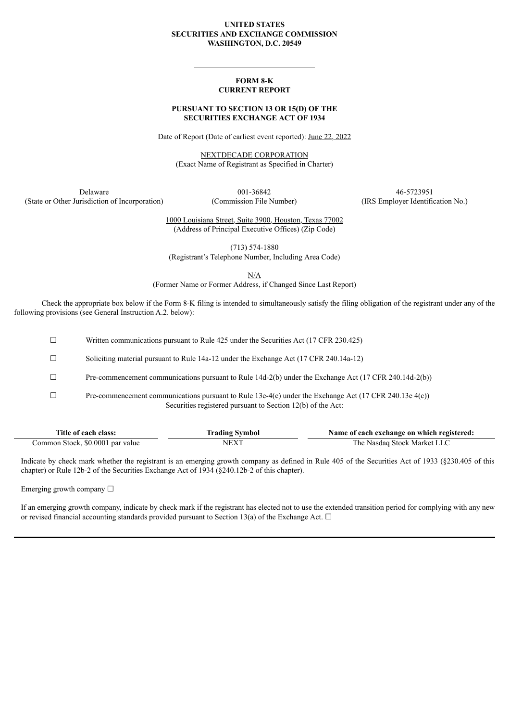#### **UNITED STATES SECURITIES AND EXCHANGE COMMISSION WASHINGTON, D.C. 20549**

#### **FORM 8-K CURRENT REPORT**

## **PURSUANT TO SECTION 13 OR 15(D) OF THE SECURITIES EXCHANGE ACT OF 1934**

Date of Report (Date of earliest event reported): June 22, 2022

NEXTDECADE CORPORATION (Exact Name of Registrant as Specified in Charter)

Delaware 001-36842 46-5723951 (State or Other Jurisdiction of Incorporation) (Commission File Number) (IRS Employer Identification No.)

1000 Louisiana Street, Suite 3900, Houston, Texas 77002 (Address of Principal Executive Offices) (Zip Code)

(713) 574-1880

(Registrant's Telephone Number, Including Area Code)

N/A

(Former Name or Former Address, if Changed Since Last Report)

Check the appropriate box below if the Form 8-K filing is intended to simultaneously satisfy the filing obligation of the registrant under any of the following provisions (see General Instruction A.2. below):

☐ Written communications pursuant to Rule 425 under the Securities Act (17 CFR 230.425)

☐ Soliciting material pursuant to Rule 14a-12 under the Exchange Act (17 CFR 240.14a-12)

☐ Pre-commencement communications pursuant to Rule 14d-2(b) under the Exchange Act (17 CFR 240.14d-2(b))

☐ Pre-commencement communications pursuant to Rule 13e-4(c) under the Exchange Act (17 CFR 240.13e 4(c)) Securities registered pursuant to Section 12(b) of the Act:

| Title of<br>. class:<br>' each              |           | f each exchange on which registered:<br>vame of |
|---------------------------------------------|-----------|-------------------------------------------------|
| $.$ \$0.0001<br>:ommon Stock<br>l par value | コマア<br>NF | - Market '<br>Stock.<br>, he<br>Nasdad          |

Indicate by check mark whether the registrant is an emerging growth company as defined in Rule 405 of the Securities Act of 1933 (§230.405 of this chapter) or Rule 12b-2 of the Securities Exchange Act of 1934 (§240.12b-2 of this chapter).

Emerging growth company  $\Box$ 

If an emerging growth company, indicate by check mark if the registrant has elected not to use the extended transition period for complying with any new or revised financial accounting standards provided pursuant to Section 13(a) of the Exchange Act.  $\Box$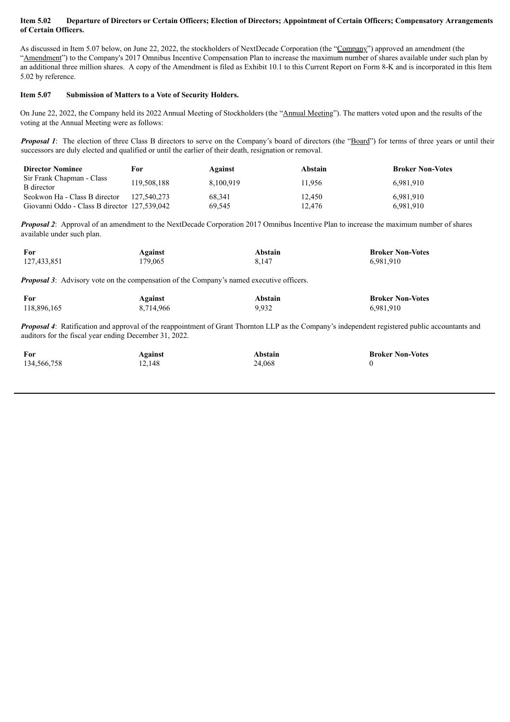## Item 5.02 Departure of Directors or Certain Officers; Election of Directors; Appointment of Certain Officers; Compensatory Arrangements **of Certain Officers.**

As discussed in Item 5.07 below, on June 22, 2022, the stockholders of NextDecade Corporation (the "Company") approved an amendment (the "Amendment") to the Company's 2017 Omnibus Incentive Compensation Plan to increase the maximum number of shares available under such plan by an additional three million shares. A copy of the Amendment is filed as Exhibit 10.1 to this Current Report on Form 8-K and is incorporated in this Item 5.02 by reference.

#### **Item 5.07 Submission of Matters to a Vote of Security Holders.**

On June 22, 2022, the Company held its 2022 Annual Meeting of Stockholders (the "Annual Meeting"). The matters voted upon and the results of the voting at the Annual Meeting were as follows:

*Proposal 1*: The election of three Class B directors to serve on the Company's board of directors (the "Board") for terms of three years or until their successors are duly elected and qualified or until the earlier of their death, resignation or removal.

| <b>Director Nominee</b>                      | For.        | Against   | Abstain | <b>Broker Non-Votes</b> |
|----------------------------------------------|-------------|-----------|---------|-------------------------|
| Sir Frank Chapman - Class                    | 119.508.188 | 8.100.919 | 11.956  | 6.981.910               |
| B director<br>Seokwon Ha - Class B director  | 127.540.273 | 68.341    | 12.450  | 6.981.910               |
| Giovanni Oddo - Class B director 127,539,042 |             | 69,545    | 12.476  | 6,981,910               |

*Proposal* 2: Approval of an amendment to the NextDecade Corporation 2017 Omnibus Incentive Plan to increase the maximum number of shares available under such plan.

| For         | Against | Abstain | <b>Broker Non-Votes</b> |
|-------------|---------|---------|-------------------------|
| 127,433,851 | 179,065 | 8,147   | 6,981,910               |

**Proposal 3**: Advisory vote on the compensation of the Company's named executive officers.

| For         | Against   | Abstain | <b>Broker Non-Votes</b> |
|-------------|-----------|---------|-------------------------|
| 118,896,165 | 8,714,966 | 9.932   | 6,981,910               |

*Proposal 4*: Ratification and approval of the reappointment of Grant Thornton LLP as the Company's independent registered public accountants and auditors for the fiscal year ending December 31, 2022.

| For         | <b>Against</b> | Abstain | <b>Broker Non-Votes</b> |
|-------------|----------------|---------|-------------------------|
| 134,566,758 | 12,148         | 24,068  |                         |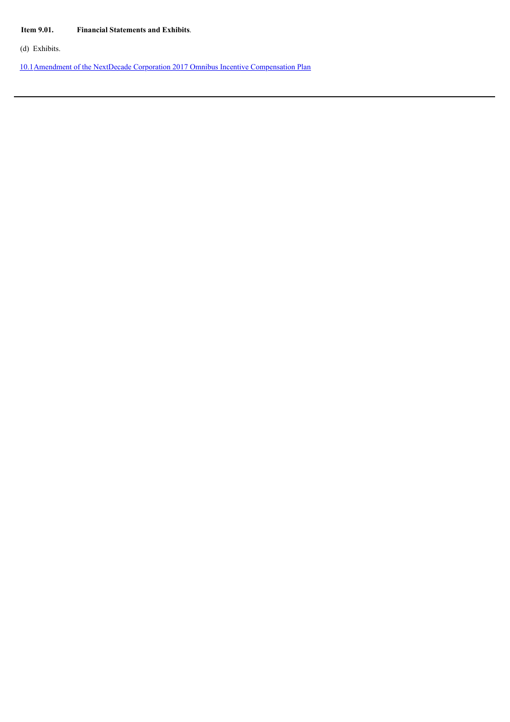# **Item 9.01. Financial Statements and Exhibits**.

(d) Exhibits.

[10.1](#page-4-0)Amendment of the NextDecade Corporation 2017 Omnibus Incentive [Compensation](#page-4-0) Plan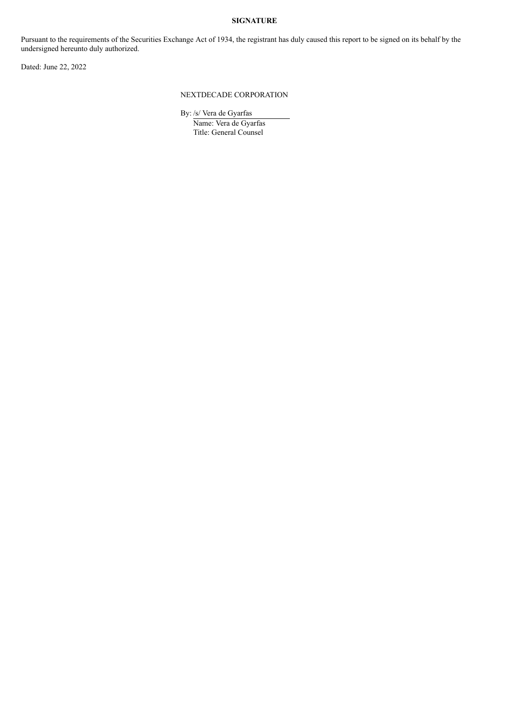# **SIGNATURE**

Pursuant to the requirements of the Securities Exchange Act of 1934, the registrant has duly caused this report to be signed on its behalf by the undersigned hereunto duly authorized.

Dated: June 22, 2022

# NEXTDECADE CORPORATION

By: /s/ Vera de Gyarfas

Name: Vera de Gyarfas Title: General Counsel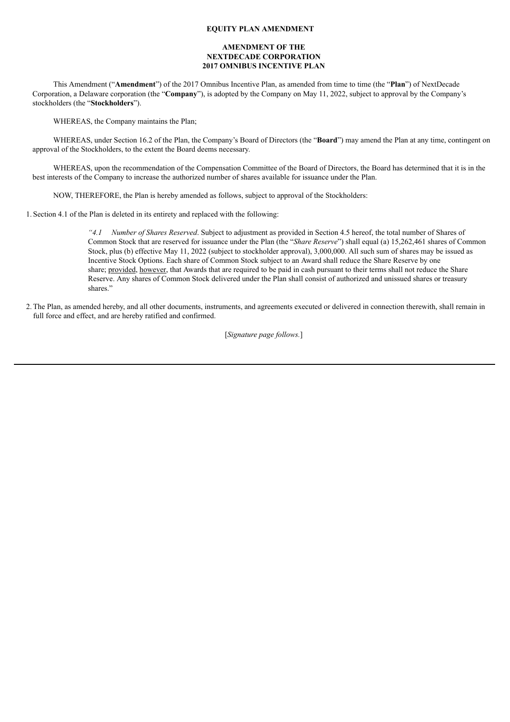### **EQUITY PLAN AMENDMENT**

#### **AMENDMENT OF THE NEXTDECADE CORPORATION 2017 OMNIBUS INCENTIVE PLAN**

<span id="page-4-0"></span>This Amendment ("**Amendment**") of the 2017 Omnibus Incentive Plan, as amended from time to time (the "**Plan**") of NextDecade Corporation, a Delaware corporation (the "**Company**"), is adopted by the Company on May 11, 2022, subject to approval by the Company's stockholders (the "**Stockholders**").

WHEREAS, the Company maintains the Plan;

WHEREAS, under Section 16.2 of the Plan, the Company's Board of Directors (the "**Board**") may amend the Plan at any time, contingent on approval of the Stockholders, to the extent the Board deems necessary.

WHEREAS, upon the recommendation of the Compensation Committee of the Board of Directors, the Board has determined that it is in the best interests of the Company to increase the authorized number of shares available for issuance under the Plan.

NOW, THEREFORE, the Plan is hereby amended as follows, subject to approval of the Stockholders:

1. Section 4.1 of the Plan is deleted in its entirety and replaced with the following:

*"4.1 Number of Shares Reserved*. Subject to adjustment as provided in Section 4.5 hereof, the total number of Shares of Common Stock that are reserved for issuance under the Plan (the "*Share Reserve*") shall equal (a) 15,262,461 shares of Common Stock, plus (b) effective May 11, 2022 (subject to stockholder approval), 3,000,000. All such sum of shares may be issued as Incentive Stock Options. Each share of Common Stock subject to an Award shall reduce the Share Reserve by one share; provided, however, that Awards that are required to be paid in cash pursuant to their terms shall not reduce the Share Reserve. Any shares of Common Stock delivered under the Plan shall consist of authorized and unissued shares or treasury shares."

2.The Plan, as amended hereby, and all other documents, instruments, and agreements executed or delivered in connection therewith, shall remain in full force and effect, and are hereby ratified and confirmed.

[*Signature page follows.*]